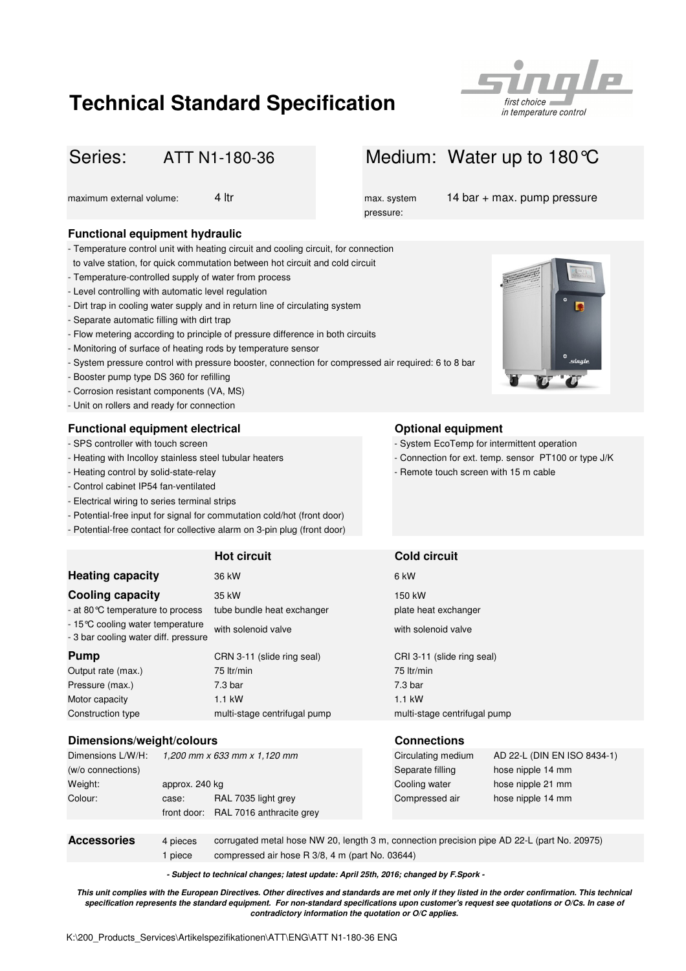# **Technical Standard Specification**



## ATT N1-180-36

### **Functional equipment hydraulic**

- Temperature control unit with heating circuit and cooling circuit, for connection
- to valve station, for quick commutation between hot circuit and cold circuit
- Temperature-controlled supply of water from process
- Level controlling with automatic level regulation
- Dirt trap in cooling water supply and in return line of circulating system
- Separate automatic filling with dirt trap
- Flow metering according to principle of pressure difference in both circuits
- Monitoring of surface of heating rods by temperature sensor
- System pressure control with pressure booster, connection for compressed air required: 6 to 8 bar
- Booster pump type DS 360 for refilling
- Corrosion resistant components (VA, MS)
- Unit on rollers and ready for connection

#### **Functional equipment electrical Constanting Series Constanting Constanting Constanting Constanting Constanting Constanting Constanting Constanting Constanting Constanting Constanting Constanting Constanting Constanting**

- SPS controller with touch screen
- 
- Heating control by solid-state-relay
- Control cabinet IP54 fan-ventilated
- Electrical wiring to series terminal strips
- Potential-free input for signal for commutation cold/hot (front door)
- Potential-free contact for collective alarm on 3-pin plug (front door)

|                                                                           | <b>Hot circuit</b>           | <b>Cold circuit</b>          |
|---------------------------------------------------------------------------|------------------------------|------------------------------|
| <b>Heating capacity</b>                                                   | 36 kW                        | 6 kW                         |
| <b>Cooling capacity</b>                                                   | 35 kW                        | 150 kW                       |
| - at 80 °C temperature to process                                         | tube bundle heat exchanger   | plate heat exchanger         |
| - 15 °C cooling water temperature<br>- 3 bar cooling water diff. pressure | with solenoid valve          | with solenoid valve          |
| <b>Pump</b>                                                               | CRN 3-11 (slide ring seal)   | CRI 3-11 (slide ring seal)   |
| Output rate (max.)                                                        | 75 ltr/min                   | 75 ltr/min                   |
| Pressure (max.)                                                           | 7.3 <sub>bar</sub>           | 7.3 <sub>bar</sub>           |
| Motor capacity                                                            | $1.1$ kW                     | $1.1$ kW                     |
| Construction type                                                         | multi-stage centrifugal pump | multi-stage centrifugal pump |

#### **Dimensions/weight/colours Connections**

| Dimensions L/W/H:  | 1,200 mm x 633 mm x 1,120 mm |                                                                                             | Circulating medium | AD 22-L (DIN EN ISO 8434-1) |
|--------------------|------------------------------|---------------------------------------------------------------------------------------------|--------------------|-----------------------------|
| (w/o connections)  |                              |                                                                                             | Separate filling   | hose nipple 14 mm           |
| Weight:            | approx. 240 kg               |                                                                                             | Cooling water      | hose nipple 21 mm           |
| Colour:            | case:                        | RAL 7035 light grey                                                                         | Compressed air     | hose nipple 14 mm           |
|                    | front door:                  | RAL 7016 anthracite grey                                                                    |                    |                             |
|                    |                              |                                                                                             |                    |                             |
| <b>Accessories</b> | 4 pieces                     | corrugated metal hose NW 20, length 3 m, connection precision pipe AD 22-L (part No. 20975) |                    |                             |

1 piece compressed air hose R 3/8, 4 m (part No. 03644)

**- Subject to technical changes; latest update: April 25th, 2016; changed by F.Spork -**

**This unit complies with the European Directives. Other directives and standards are met only if they listed in the order confirmation. This technical specification represents the standard equipment. For non-standard specifications upon customer's request see quotations or O/Cs. In case of contradictory information the quotation or O/C applies.**



pressure:

maximum external volume: 4 ltr max. system 14 bar + max. pump pressure



- System EcoTemp for intermittent operation
- Heating with Incolloy stainless steel tubular heaters Connection for ext. temp. sensor PT100 or type J/K
	- Remote touch screen with 15 m cable